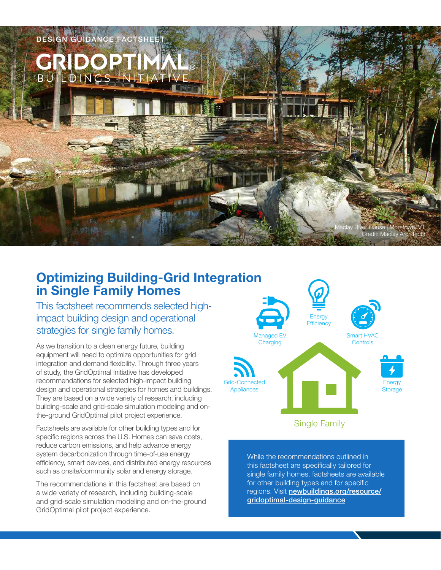

# **Optimizing Building-Grid Integration in Single Family Homes**

This factsheet recommends selected highimpact building design and operational strategies for single family homes.

As we transition to a clean energy future, building equipment will need to optimize opportunities for grid integration and demand flexibility. Through three years of study, the GridOptimal Initiative has developed recommendations for selected high-impact building design and operational strategies for homes and buildings. They are based on a wide variety of research, including building-scale and grid-scale simulation modeling and onthe-ground GridOptimal pilot project experience.

Factsheets are available for other building types and for specific regions across the U.S. Homes can save costs, reduce carbon emissions, and help advance energy system decarbonization through time-of-use energy efficiency, smart devices, and distributed energy resources such as onsite/community solar and energy storage.

The recommendations in this factsheet are based on a wide variety of research, including building-scale and grid-scale simulation modeling and on-the-ground GridOptimal pilot project experience.



While the recommendations outlined in this factsheet are specifically tailored for single family homes, factsheets are available for other building types and for specific regions. Visit [newbuildings.org/resource/](https://newbuildings.org/resource/gridoptimal-design-guidance) [gridoptimal-design-guidance](https://newbuildings.org/resource/gridoptimal-design-guidance)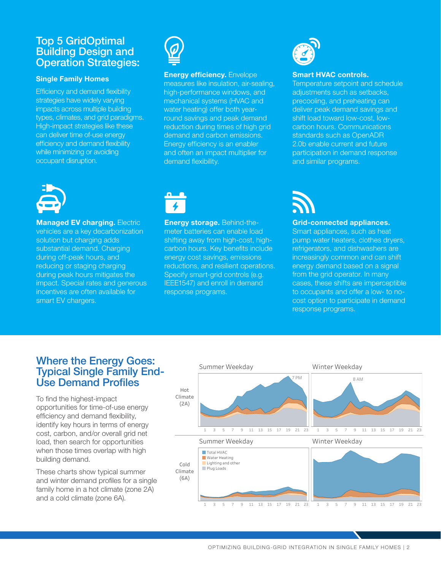## Top 5 GridOptimal Building Design and Operation Strategies:

#### **Single Family Homes**

Efficiency and demand flexibility strategies have widely varying impacts across multiple building types, climates, and grid paradigms. High-impact strategies like these can deliver time of-use energy efficiency and demand flexibility while minimizing or avoiding occupant disruption.



#### **Energy efficiency.** Envelope

measures like insulation, air-sealing, high-performance windows, and mechanical systems (HVAC and water heating) offer both yearround savings and peak demand reduction during times of high grid demand and carbon emissions. Energy efficiency is an enabler and often an impact multiplier for demand flexibility.



#### **Smart HVAC controls.**

Temperature setpoint and schedule adjustments such as setbacks, precooling, and preheating can deliver peak demand savings and shift load toward low-cost, lowcarbon hours. Communications standards such as OpenADR 2.0b enable current and future participation in demand response and similar programs.



**Managed EV charging. Electric** vehicles are a key decarbonization solution but charging adds substantial demand. Charging during off-peak hours, and reducing or staging charging during peak hours mitigates the impact. Special rates and generous incentives are often available for smart EV chargers.



**Energy storage.** Behind-themeter batteries can enable load shifting away from high-cost, highcarbon hours. Key benefits include energy cost savings, emissions reductions, and resilient operations. Specify smart-grid controls (e.g. IEEE1547) and enroll in demand response programs.



#### **Grid-connected appliances.**

Smart appliances, such as heat pump water heaters, clothes dryers, refrigerators, and dishwashers are increasingly common and can shift energy demand based on a signal from the grid operator. In many cases, these shifts are imperceptible to occupants and offer a low- to nocost option to participate in demand response programs.

## Where the Energy Goes: Typical Single Family End-Use Demand Profiles

To find the highest-impact opportunities for time-of-use energy efficiency and demand flexibility, identify key hours in terms of energy cost, carbon, and/or overall grid net load, then search for opportunities when those times overlap with high building demand.

These charts show typical summer and winter demand profiles for a single family home in a hot climate (zone 2A) and a cold climate (zone 6A).

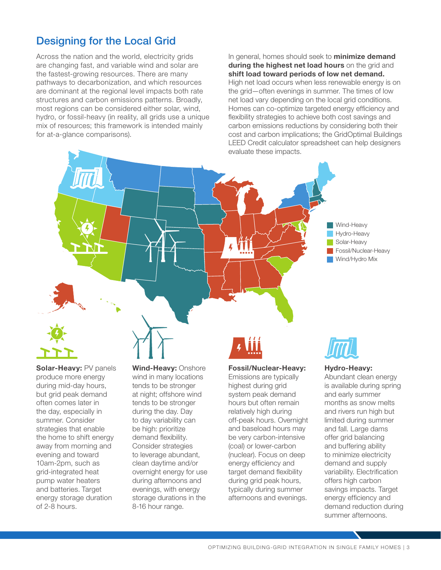## Designing for the Local Grid

Across the nation and the world, electricity grids are changing fast, and variable wind and solar are the fastest-growing resources. There are many pathways to decarbonization, and which resources are dominant at the regional level impacts both rate structures and carbon emissions patterns. Broadly, most regions can be considered either solar, wind, hydro, or fossil-heavy (in reality, all grids use a unique mix of resources; this framework is intended mainly for at-a-glance comparisons).

In general, homes should seek to **minimize demand during the highest net load hours** on the grid and **shift load toward periods of low net demand.** High net load occurs when less renewable energy is on the grid—often evenings in summer. The times of low net load vary depending on the local grid conditions. Homes can co-optimize targeted energy efficiency and flexibility strategies to achieve both cost savings and carbon emissions reductions by considering both their cost and carbon implications; the GridOptimal Buildings LEED Credit calculator spreadsheet can help designers evaluate these impacts.





**Solar-Heavy:** PV panels produce more energy during mid-day hours, but grid peak demand often comes later in the day, especially in summer. Consider strategies that enable the home to shift energy away from morning and evening and toward 10am-2pm, such as grid-integrated heat pump water heaters and batteries. Target energy storage duration of 2-8 hours.

**Wind-Heavy:** Onshore wind in many locations tends to be stronger at night; offshore wind tends to be stronger during the day. Day to day variability can be high: prioritize demand flexibility. Consider strategies to leverage abundant, clean daytime and/or overnight energy for use during afternoons and evenings, with energy storage durations in the 8-16 hour range.

#### **Fossil/Nuclear-Heavy:**

Emissions are typically highest during grid system peak demand hours but often remain relatively high during off-peak hours. Overnight and baseload hours may be very carbon-intensive (coal) or lower-carbon (nuclear). Focus on deep energy efficiency and target demand flexibility during grid peak hours, typically during summer afternoons and evenings.



#### **Hydro-Heavy:**

Abundant clean energy is available during spring and early summer months as snow melts and rivers run high but limited during summer and fall. Large dams offer grid balancing and buffering ability to minimize electricity demand and supply variability. Electrification offers high carbon savings impacts. Target energy efficiency and demand reduction during summer afternoons.